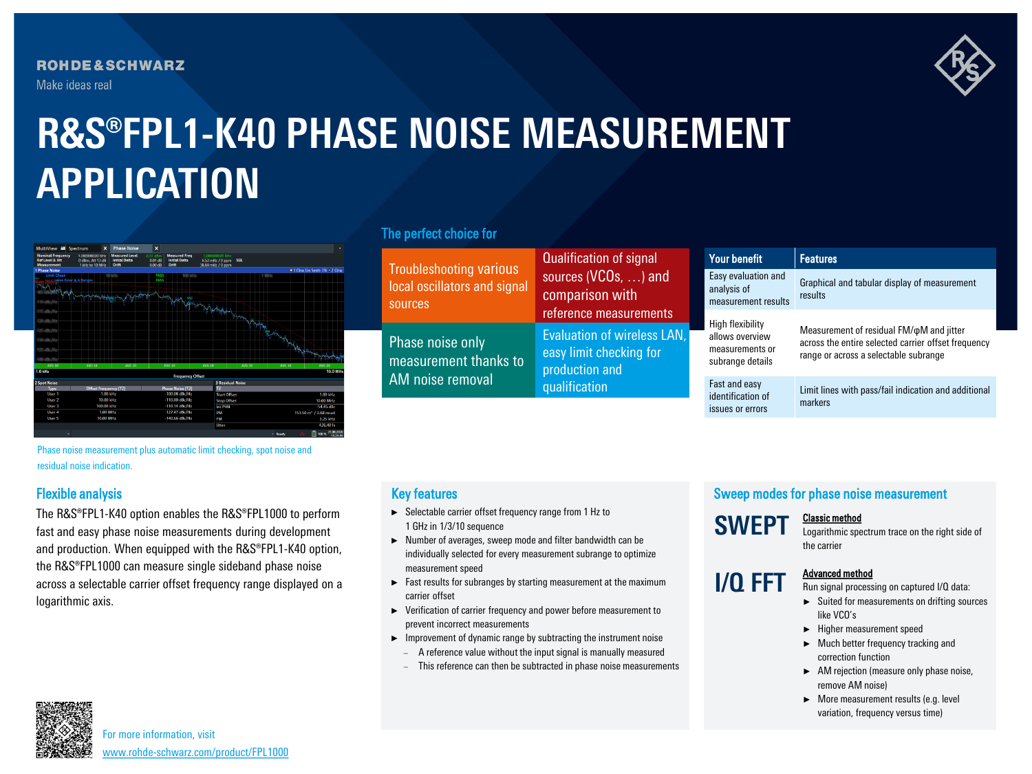**ROHDE&SCHWARZ** Make ideas real



# **R&S®FPL1-K40 PHASE NOISE MEASUREMENT APPLICATION**



## The perfect choice for

| <b>Troubleshooting various</b><br>local oscillators and signal<br>sources | Qualification of signal                                                                            |  | Your benefit                                                               | <b>Features</b>                                                                                                                                 |  |
|---------------------------------------------------------------------------|----------------------------------------------------------------------------------------------------|--|----------------------------------------------------------------------------|-------------------------------------------------------------------------------------------------------------------------------------------------|--|
|                                                                           | sources (VCOs, ) and<br>comparison with                                                            |  | Easy evaluation and<br>analysis of<br>measurement results                  | Graphical and tabular display of measurement<br>results                                                                                         |  |
| Phase noise only<br>measurement thanks to                                 | reference measurements<br>Evaluation of wireless LAN,<br>easy limit checking for<br>production and |  | High flexibility<br>allows overview<br>measurements or<br>subrange details | Measurement of residual FM/ $\phi$ M and jitter<br>across the entire selected carrier offset frequency<br>range or across a selectable subrange |  |
| AM noise removal                                                          | qualification                                                                                      |  | Fast and easy<br>identification of<br>issues or errors                     | Limit lines with pass/fail indication and additional<br>markers                                                                                 |  |

Phase noise measurement plus automatic limit checking, spot noise and residual noise indication.

## Flexible analysis

The R&S®FPL1-K40 option enables the R&S®FPL1000 to perform fast and easy phase noise measurements during development and production. When equipped with the R&S®FPL1-K40 option, the R&S®FPL1000 can measure single sideband phase noise across a selectable carrier offset frequency range displayed on a logarithmic axis.

## Key features

- ► Selectable carrier offset frequency range from 1 Hz to 1 GHz in 1/3/10 sequence
- ► Number of averages, sweep mode and filter bandwidth can be individually selected for every measurement subrange to optimize measurement speed
- ► Fast results for subranges by starting measurement at the maximum carrier offset
- ► Verification of carrier frequency and power before measurement to prevent incorrect measurements
- ► Improvement of dynamic range by subtracting the instrument noise
	- A reference value without the input signal is manually measured
	- − This reference can then be subtracted in phase noise measurements

## Sweep modes for phase noise measurement

**SWEPT** Classic method Logarithmic spectrum trace on the right side of

the carrier

**I/Q FFT** Advanced method

#### Run signal processing on captured I/Q data: ► Suited for measurements on drifting sources

- like VCO's
- ► Higher measurement speed
- ► Much better frequency tracking and correction function
- ► AM rejection (measure only phase noise, remove AM noise)
- ► More measurement results (e.g. level variation, frequency versus time)